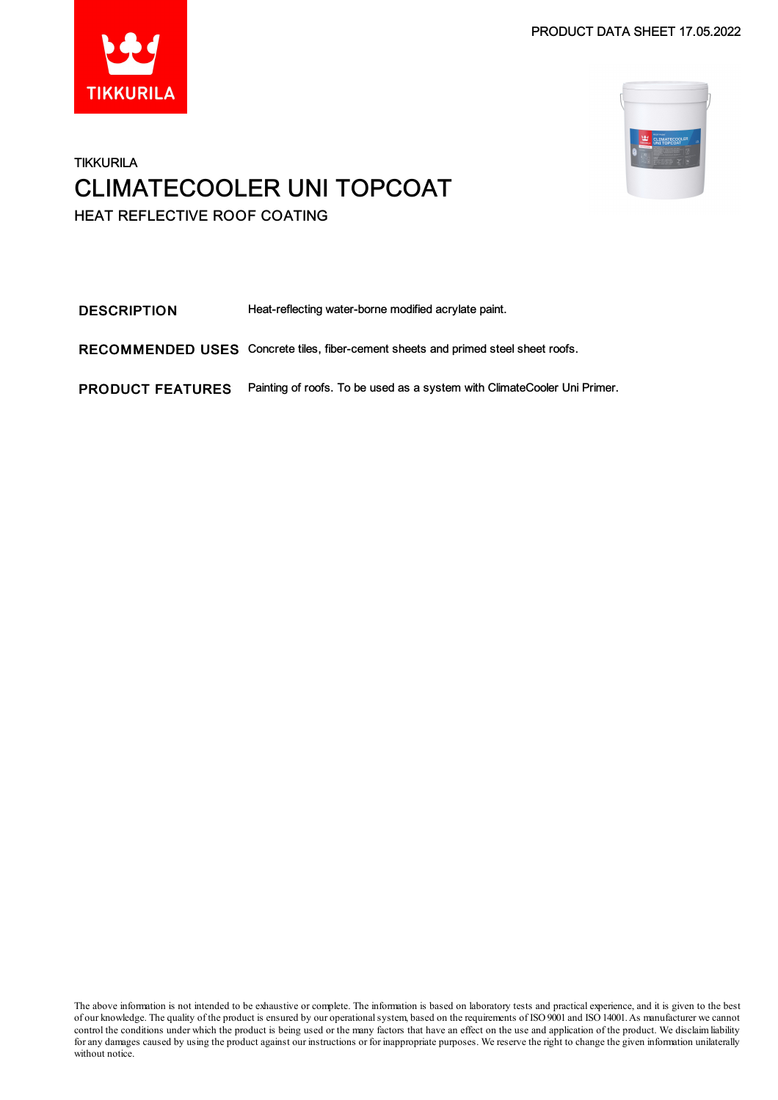PRODUCT DATA SHEET 17.05.2022





### **TIKKURILA** CLIMATECOOLER UNI TOPCOAT HEAT REFLECTIVE ROOF COATING

DESCRIPTION Heat-reflecting water-borne modified acrylate paint. RECOMMENDED USES Concrete tiles, fiber-cement sheets and primed steel sheet roofs. PRODUCT FEATURES Painting of roofs. To be used as a system with ClimateCooler Uni Primer.

The above information is not intended to be exhaustive or complete. The information is based on laboratory tests and practical experience, and it is given to the best of our knowledge. The quality of the product is ensured by our operational system, based on the requirements of ISO 9001 and ISO 14001. As manufacturer we cannot control the conditions under which the product is being used or the many factors that have an effect on the use and application of the product. We disclaimliability for any damages caused by using the product against our instructions or for inappropriate purposes. We reserve the right to change the given information unilaterally without notice.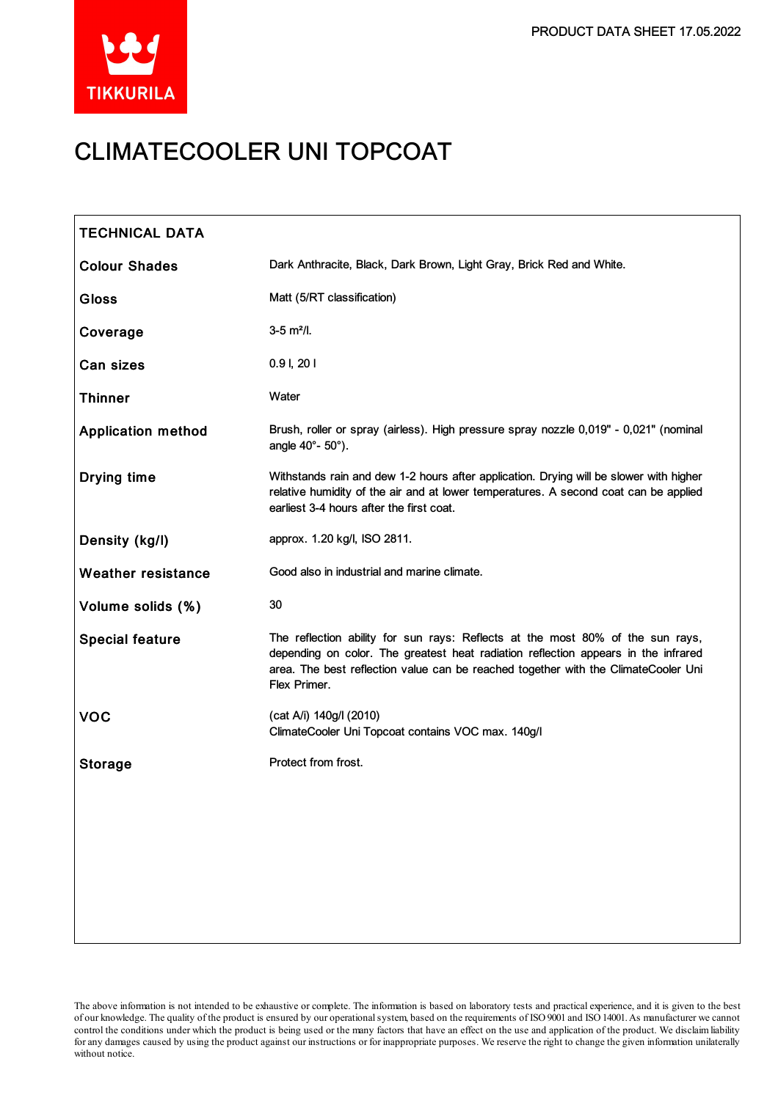

# CLIMATECOOLER UNI TOPCOAT

| <b>TECHNICAL DATA</b>     |                                                                                                                                                                                                                                                                            |
|---------------------------|----------------------------------------------------------------------------------------------------------------------------------------------------------------------------------------------------------------------------------------------------------------------------|
| <b>Colour Shades</b>      | Dark Anthracite, Black, Dark Brown, Light Gray, Brick Red and White.                                                                                                                                                                                                       |
| <b>Gloss</b>              | Matt (5/RT classification)                                                                                                                                                                                                                                                 |
| Coverage                  | $3-5$ m <sup>2</sup> /l.                                                                                                                                                                                                                                                   |
| Can sizes                 | $0.9$ I, $201$                                                                                                                                                                                                                                                             |
| <b>Thinner</b>            | Water                                                                                                                                                                                                                                                                      |
| <b>Application method</b> | Brush, roller or spray (airless). High pressure spray nozzle 0,019" - 0,021" (nominal<br>angle 40°- 50°).                                                                                                                                                                  |
| <b>Drying time</b>        | Withstands rain and dew 1-2 hours after application. Drying will be slower with higher<br>relative humidity of the air and at lower temperatures. A second coat can be applied<br>earliest 3-4 hours after the first coat.                                                 |
| Density (kg/l)            | approx. 1.20 kg/l, ISO 2811.                                                                                                                                                                                                                                               |
| <b>Weather resistance</b> | Good also in industrial and marine climate.                                                                                                                                                                                                                                |
| Volume solids (%)         | 30                                                                                                                                                                                                                                                                         |
| <b>Special feature</b>    | The reflection ability for sun rays: Reflects at the most 80% of the sun rays,<br>depending on color. The greatest heat radiation reflection appears in the infrared<br>area. The best reflection value can be reached together with the ClimateCooler Uni<br>Flex Primer. |
| <b>VOC</b>                | (cat A/i) 140g/l (2010)<br>ClimateCooler Uni Topcoat contains VOC max. 140g/l                                                                                                                                                                                              |
| <b>Storage</b>            | Protect from frost.                                                                                                                                                                                                                                                        |
|                           |                                                                                                                                                                                                                                                                            |
|                           |                                                                                                                                                                                                                                                                            |
|                           |                                                                                                                                                                                                                                                                            |
|                           |                                                                                                                                                                                                                                                                            |
|                           |                                                                                                                                                                                                                                                                            |

The above information is not intended to be exhaustive or complete. The information is based on laboratory tests and practical experience, and it is given to the best of our knowledge. The quality of the product is ensured by our operationalsystem, based on the requirements of ISO9001 and ISO14001.As manufacturer we cannot control the conditions under which the product is being used or the many factors that have an effect on the use and application of the product. We disclaimliability forany damages caused by using the product against our instructions or for inappropriate purposes. We reserve the right to change the given information unilaterally without notice.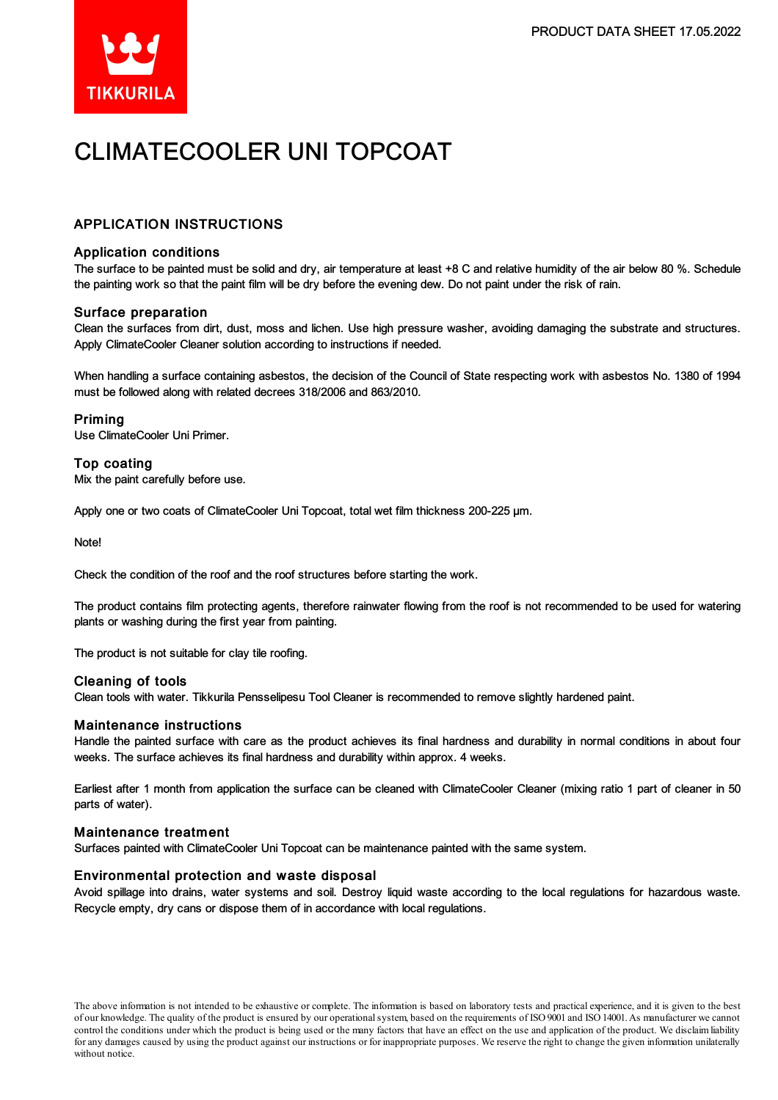

# CLIMATECOOLER UNI TOPCOAT

### APPLICATION INSTRUCTIONS

#### Application conditions

The surface to be painted must be solid and dry, air temperature at least +8 C and relative humidity of the air below 80 %. Schedule the painting work so that the paint film will be dry before the evening dew. Do not paint under the risk of rain.

#### Surface preparation

Clean the surfaces from dirt, dust, moss and lichen. Use high pressure washer, avoiding damaging the substrate and structures. Apply ClimateCooler Cleaner solution according to instructions if needed.

When handling a surface containing asbestos, the decision of the Council of State respecting work with asbestos No. 1380 of 1994 must be followed along with related decrees 318/2006 and 863/2010.

#### Priming

Use ClimateCooler Uni Primer.

#### Top coating

Mix the paint carefully before use.

Apply one or two coats of ClimateCooler Uni Topcoat, total wet film thickness 200-225 µm.

Note!

Check the condition of the roof and the roof structures before starting the work.

The product contains film protecting agents, therefore rainwater flowing from the roof is not recommended to be used for watering plants or washing during the first year from painting.

The product is not suitable for clay tile roofing.

#### Cleaning of tools

Clean tools with water. Tikkurila Pensselipesu Tool Cleaner is recommended to remove slightly hardened paint.

#### Maintenance instructions

Handle the painted surface with care as the product achieves its final hardness and durability in normal conditions in about four weeks. The surface achieves its final hardness and durability within approx. 4 weeks.

Earliest after 1 month from application the surface can be cleaned with ClimateCooler Cleaner (mixing ratio 1 part of cleaner in 50 parts of water).

#### Maintenance treatment

Surfaces painted with ClimateCooler Uni Topcoat can be maintenance painted with the same system.

#### Environmental protection and waste disposal

Avoid spillage into drains, water systems and soil. Destroy liquid waste according to the local regulations for hazardous waste. Recycle empty, dry cans or dispose them of in accordance with local regulations.

The above information is not intended to be exhaustive or complete. The information is based on laboratory tests and practical experience, and it is given to the best of our knowledge. The quality of the product is ensured by our operationalsystem, based on the requirements of ISO9001 and ISO14001.As manufacturer we cannot control the conditions under which the product is being used or the many factors that have an effect on the use and application of the product. We disclaimliability forany damages caused by using the product against our instructions or for inappropriate purposes. We reserve the right to change the given information unilaterally without notice.